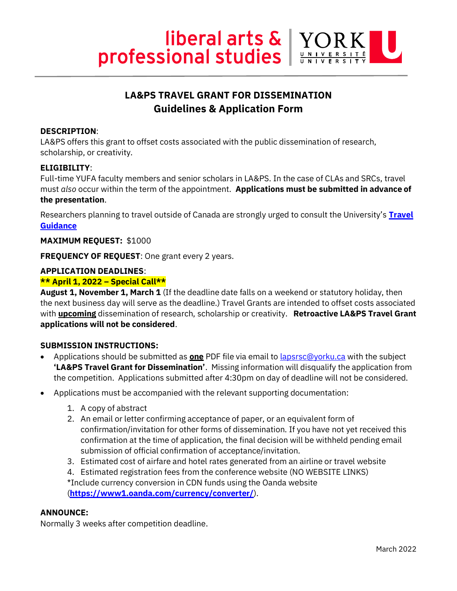

# **LA&PS TRAVEL GRANT FOR DISSEMINATION Guidelines & Application Form**

# **DESCRIPTION**:

LA&PS offers this grant to offset costs associated with the public dissemination of research, scholarship, or creativity.

## **ELIGIBILITY**:

Full-time YUFA faculty members and senior scholars in LA&PS. In the case of CLAs and SRCs, travel must *also* occur within the term of the appointment. **Applications must be submitted in advance of the presentation**.

Researchers planning to travel outside of Canada are strongly urged to consult the University's **[Travel](https://www.yorku.ca/bettertogether/2022/03/11/updated-international-travel-guidance/)  [Guidance](https://www.yorku.ca/bettertogether/2022/03/11/updated-international-travel-guidance/)**

#### **MAXIMUM REQUEST:** \$1000

**FREQUENCY OF REQUEST**: One grant every 2 years.

# **APPLICATION DEADLINES**:

## **\*\* April 1, 2022 – Special Call\*\***

**August 1, November 1, March 1** (If the deadline date falls on a weekend or statutory holiday, then the next business day will serve as the deadline.) Travel Grants are intended to offset costs associated with **upcoming** dissemination of research, scholarship or creativity. **Retroactive LA&PS Travel Grant applications will not be considered**.

## **SUBMISSION INSTRUCTIONS:**

- Applications should be submitted as **one** PDF file via email to [lapsrsc@yorku.ca](mailto:lapsrsc@yorku.ca) with the subject **'LA&PS Travel Grant for Dissemination'**. Missing information will disqualify the application from the competition. Applications submitted after 4:30pm on day of deadline will not be considered.
- Applications must be accompanied with the relevant supporting documentation:
	- 1. A copy of abstract
	- 2. An email or letter confirming acceptance of paper, or an equivalent form of confirmation/invitation for other forms of dissemination. If you have not yet received this confirmation at the time of application, the final decision will be withheld pending email submission of official confirmation of acceptance/invitation.
	- 3. Estimated cost of airfare and hotel rates generated from an airline or travel website
	- 4. Estimated registration fees from the conference website (NO WEBSITE LINKS) \*Include currency conversion in CDN funds using the Oanda website (**<https://www1.oanda.com/currency/converter/>**).

# **ANNOUNCE:**

Normally 3 weeks after competition deadline.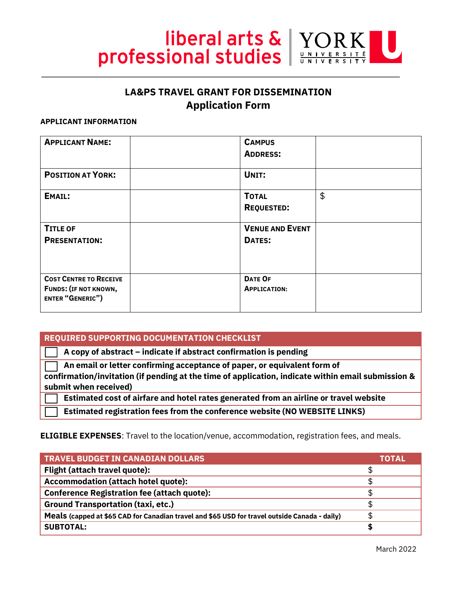

# **LA&PS TRAVEL GRANT FOR DISSEMINATION Application Form**

#### **APPLICANT INFORMATION**

| <b>APPLICANT NAME:</b>                                                                   | <b>CAMPUS</b><br><b>ADDRESS:</b>      |    |
|------------------------------------------------------------------------------------------|---------------------------------------|----|
| <b>POSITION AT YORK:</b>                                                                 | UNIT:                                 |    |
| <b>EMAIL:</b>                                                                            | <b>TOTAL</b><br><b>REQUESTED:</b>     | \$ |
| <b>TITLE OF</b><br><b>PRESENTATION:</b>                                                  | <b>VENUE AND EVENT</b><br>DATES:      |    |
| <b>COST CENTRE TO RECEIVE</b><br><b>FUNDS: (IF NOT KNOWN,</b><br><b>ENTER "GENERIC")</b> | <b>DATE OF</b><br><b>APPLICATION:</b> |    |

## **REQUIRED SUPPORTING DOCUMENTATION CHECKLIST**

 **A copy of abstract – indicate if abstract confirmation is pending**

 **An email or letter confirming acceptance of paper, or equivalent form of confirmation/invitation (if pending at the time of application, indicate within email submission & submit when received)**

 **Estimated cost of airfare and hotel rates generated from an airline or travel website** 

 **Estimated registration fees from the conference website (NO WEBSITE LINKS)**

#### **ELIGIBLE EXPENSES**: Travel to the location/venue, accommodation, registration fees, and meals.

| <b>TRAVEL BUDGET IN CANADIAN DOLLARS</b>                                                      | TOTALI |
|-----------------------------------------------------------------------------------------------|--------|
| Flight (attach travel quote):                                                                 | \$.    |
| <b>Accommodation (attach hotel quote):</b>                                                    |        |
| <b>Conference Registration fee (attach quote):</b>                                            |        |
| <b>Ground Transportation (taxi, etc.)</b>                                                     |        |
| Meals (capped at \$65 CAD for Canadian travel and \$65 USD for travel outside Canada - daily) | \$.    |
| <b>SUBTOTAL:</b>                                                                              |        |